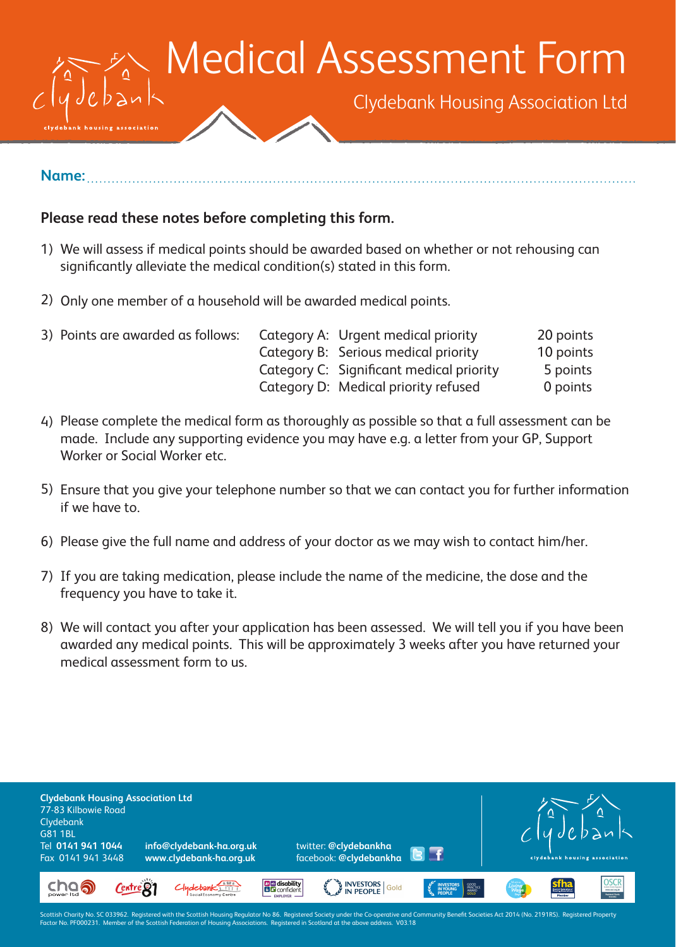

## **Name:**

## **Please read these notes before completing this form.**

- We will assess if medical points should be awarded based on whether or not rehousing can 1) significantly alleviate the medical condition(s) stated in this form.
- 2) Only one member of a household will be awarded medical points.

| 3) Points are awarded as follows: | Category A: Urgent medical priority      | 20 points |
|-----------------------------------|------------------------------------------|-----------|
|                                   | Category B: Serious medical priority     | 10 points |
|                                   | Category C: Significant medical priority | 5 points  |
|                                   | Category D: Medical priority refused     | 0 points  |

- Please complete the medical form as thoroughly as possible so that a full assessment can be 4) made. Include any supporting evidence you may have e.g. a letter from your GP, Support Worker or Social Worker etc.
- Ensure that you give your telephone number so that we can contact you for further information 5) if we have to.
- 6) Please give the full name and address of your doctor as we may wish to contact him/her.
- 7) If you are taking medication, please include the name of the medicine, the dose and the frequency you have to take it.
- We will contact you after your application has been assessed. We will tell you if you have been 8) awarded any medical points. This will be approximately 3 weeks after you have returned your medical assessment form to us.



Scottish Charity No. SC 033962. Registered with the Scottish Housing Regulator No 86. Registered Society under the Co-operative and Community Benefit Societies Act 2014 (No. 2191RS). Registered Property<br>Factor No. PF000231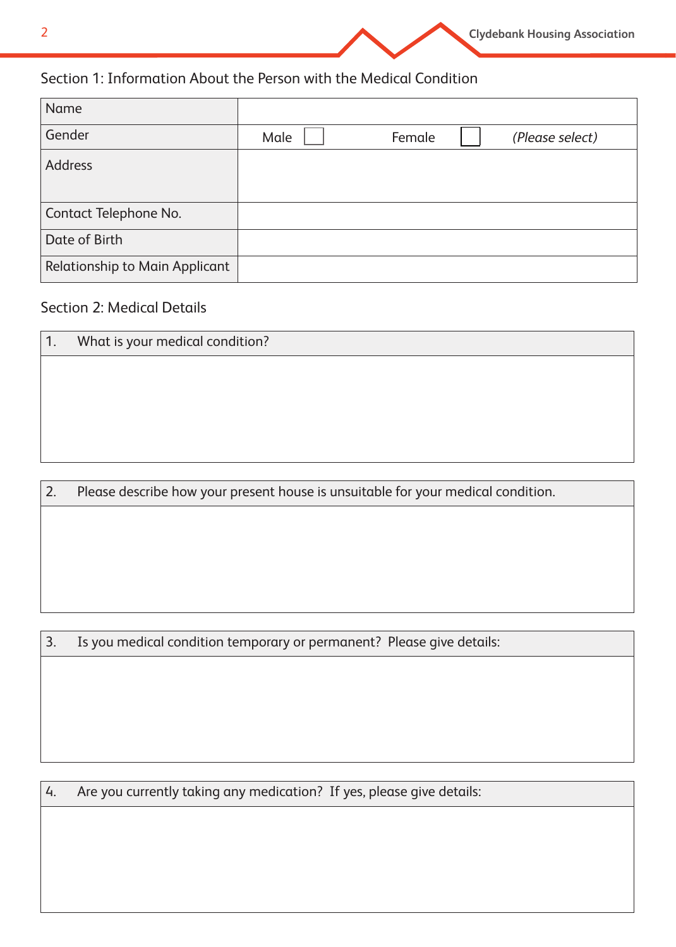

## Section 1: Information About the Person with the Medical Condition

| <b>Name</b>                    |      |        |                 |
|--------------------------------|------|--------|-----------------|
| Gender                         | Male | Female | (Please select) |
| <b>Address</b>                 |      |        |                 |
|                                |      |        |                 |
| Contact Telephone No.          |      |        |                 |
| Date of Birth                  |      |        |                 |
| Relationship to Main Applicant |      |        |                 |

## Section 2: Medical Details

| 1. | What is your medical condition?                                                  |
|----|----------------------------------------------------------------------------------|
|    |                                                                                  |
|    |                                                                                  |
|    |                                                                                  |
|    |                                                                                  |
|    |                                                                                  |
| 2. | Please describe how your present house is unsuitable for your medical condition. |

3. Is you medical condition temporary or permanent? Please give details:

4. Are you currently taking any medication? If yes, please give details: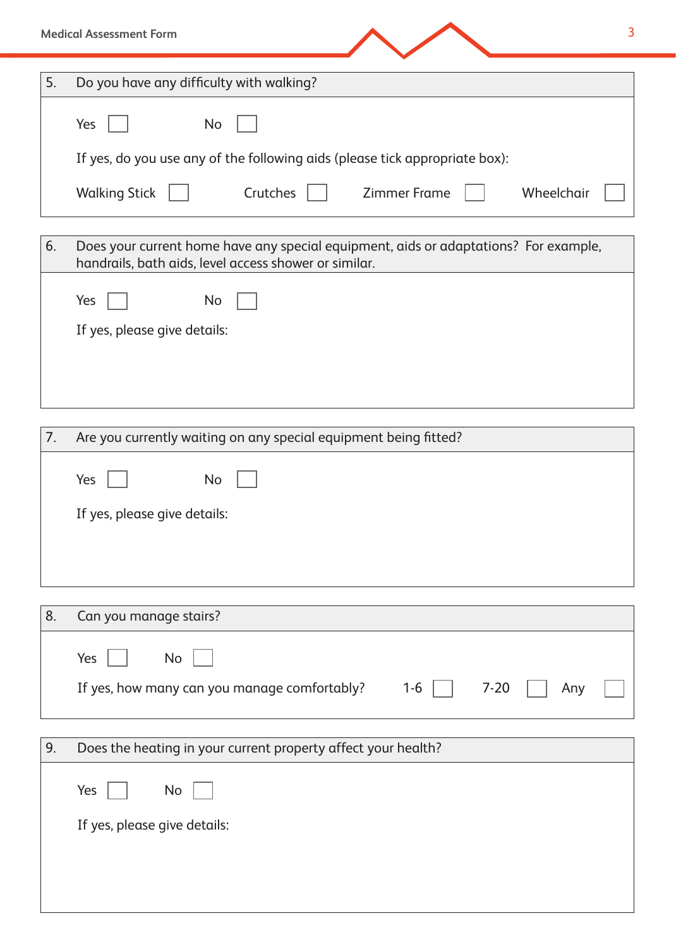|    | <b>Medical Assessment Form</b><br>3                                                                                                           |
|----|-----------------------------------------------------------------------------------------------------------------------------------------------|
| 5. | Do you have any difficulty with walking?                                                                                                      |
|    | Yes<br>No                                                                                                                                     |
|    | If yes, do you use any of the following aids (please tick appropriate box):                                                                   |
|    | <b>Walking Stick</b><br>  Crutches<br><b>Zimmer Frame</b><br>Wheelchair                                                                       |
| 6. | Does your current home have any special equipment, aids or adaptations? For example,<br>handrails, bath aids, level access shower or similar. |
|    | Yes<br>No                                                                                                                                     |
|    | If yes, please give details:                                                                                                                  |
|    |                                                                                                                                               |
| 7. | Are you currently waiting on any special equipment being fitted?                                                                              |
|    | Yes<br>No                                                                                                                                     |
|    | If yes, please give details:                                                                                                                  |
|    |                                                                                                                                               |
|    |                                                                                                                                               |
| 8. | Can you manage stairs?                                                                                                                        |
|    | No<br>Yes                                                                                                                                     |
|    | If yes, how many can you manage comfortably?<br>$7 - 20$<br>$1 - 6$<br>Any                                                                    |
| 9. | Does the heating in your current property affect your health?                                                                                 |
|    | Yes<br>No                                                                                                                                     |

If yes, please give details: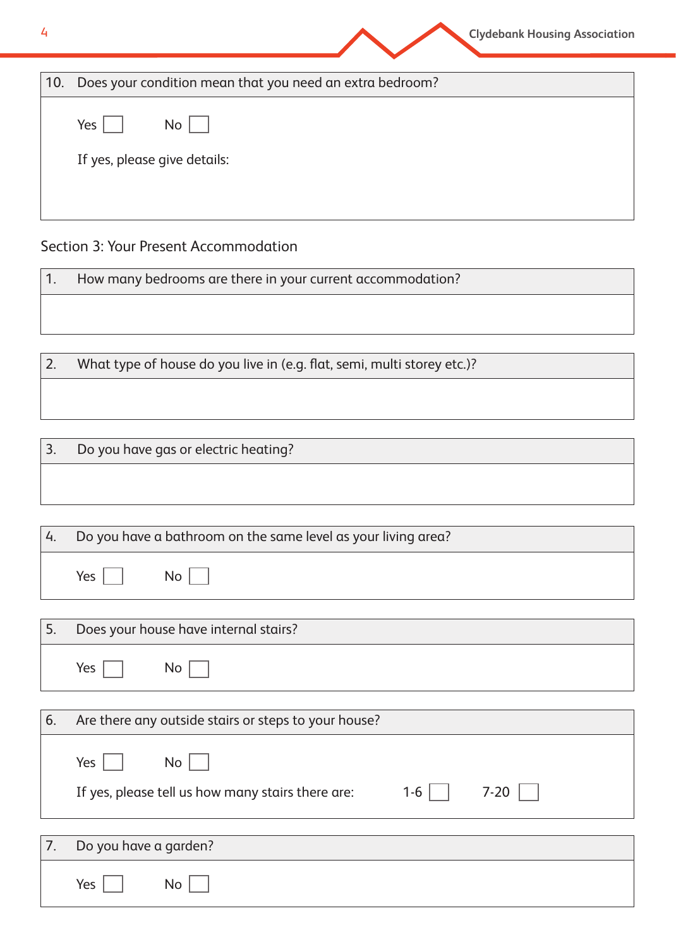| 4   | <b>Clydebank Housing Association</b>                     |
|-----|----------------------------------------------------------|
| 10. | Does your condition mean that you need an extra bedroom? |
|     | Yes<br><b>No</b>                                         |
|     | If yes, please give details:                             |
|     |                                                          |

## Section 3: Your Present Accommodation

1. How many bedrooms are there in your current accommodation?

2. What type of house do you live in (e.g. flat, semi, multi storey etc.)?

3. Do you have gas or electric heating?

Yes  $\Box$  No  $\Box$ 

| 4. | Do you have a bathroom on the same level as your living area? |  |
|----|---------------------------------------------------------------|--|
|    | Yes<br>No <sub>1</sub>                                        |  |
|    |                                                               |  |
|    | Does your house have internal stairs?                         |  |

| 6. | Are there any outside stairs or steps to your house?                                        |
|----|---------------------------------------------------------------------------------------------|
|    | No<br>Yes $ $<br>$1-6$    <br>$7-20$  <br>If yes, please tell us how many stairs there are: |
|    |                                                                                             |
|    | Do you have a garden?                                                                       |

| $\prime$ . | Do you nave a garden? |  |
|------------|-----------------------|--|
|            | Yes<br>No             |  |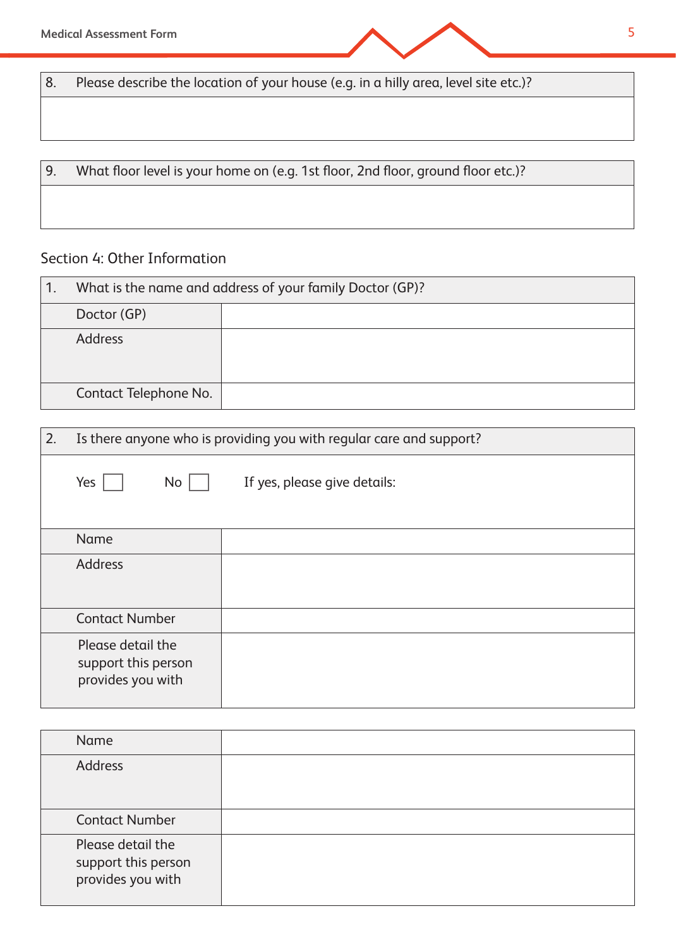**Medical Assessment Form** 5

8. Please describe the location of your house (e.g. in a hilly area, level site etc.)?

9. What floor level is your home on (e.g. 1st floor, 2nd floor, ground floor etc.)?

# Section 4: Other Information

| What is the name and address of your family Doctor (GP)? |  |
|----------------------------------------------------------|--|
| Doctor (GP)                                              |  |
| <b>Address</b>                                           |  |
| Contact Telephone No.                                    |  |

| 2. | Is there anyone who is providing you with regular care and support? |                              |
|----|---------------------------------------------------------------------|------------------------------|
|    | No<br>Yes                                                           | If yes, please give details: |
|    | Name                                                                |                              |
|    | <b>Address</b>                                                      |                              |
|    | <b>Contact Number</b>                                               |                              |
|    | Please detail the<br>support this person<br>provides you with       |                              |

| Name                                                          |  |
|---------------------------------------------------------------|--|
| <b>Address</b>                                                |  |
| <b>Contact Number</b>                                         |  |
| Please detail the<br>support this person<br>provides you with |  |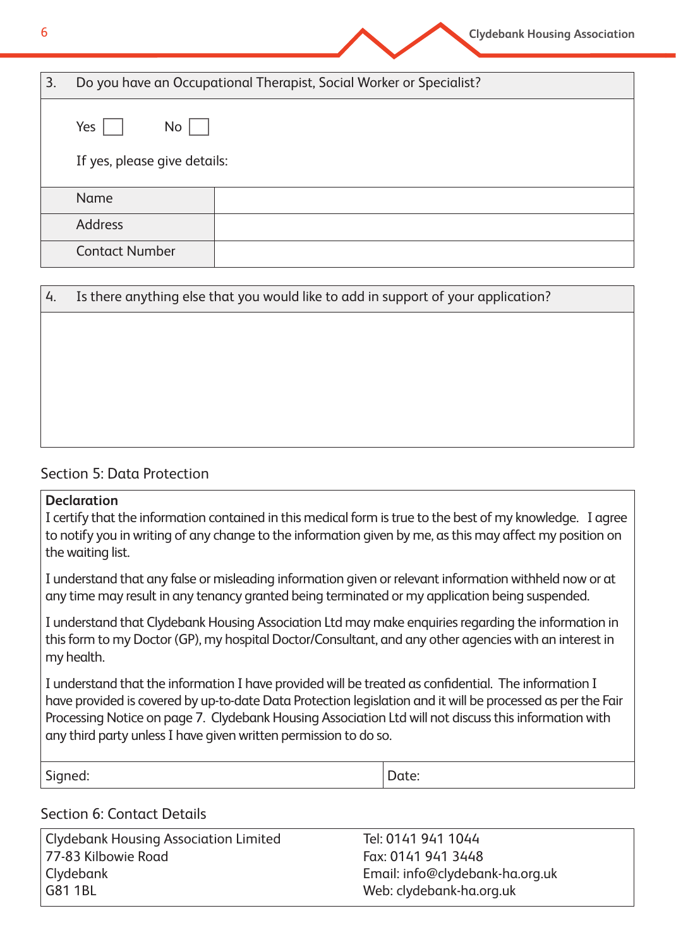| 6  |                              | <b>Clydebank Housing Association</b>                                |
|----|------------------------------|---------------------------------------------------------------------|
| 3. |                              | Do you have an Occupational Therapist, Social Worker or Specialist? |
|    | Yes<br>No <sub>1</sub>       |                                                                     |
|    | If yes, please give details: |                                                                     |
|    | <b>Name</b>                  |                                                                     |
|    | <b>Address</b>               |                                                                     |
|    | <b>Contact Number</b>        |                                                                     |

| 4. | Is there anything else that you would like to add in support of your application? |  |  |
|----|-----------------------------------------------------------------------------------|--|--|
|    |                                                                                   |  |  |
|    |                                                                                   |  |  |
|    |                                                                                   |  |  |
|    |                                                                                   |  |  |
|    |                                                                                   |  |  |

## Section 5: Data Protection

#### **Declaration**

I certify that the information contained in this medical form is true to the best of my knowledge. I agree to notify you in writing of any change to the information given by me, as this may affect my position on the waiting list.

I understand that any false or misleading information given or relevant information withheld now or at any time may result in any tenancy granted being terminated or my application being suspended.

I understand that Clydebank Housing Association Ltd may make enquiries regarding the information in this form to my Doctor (GP), my hospital Doctor/Consultant, and any other agencies with an interest in my health.

I understand that the information I have provided will be treated as confidential. The information I have provided is covered by up-to-date Data Protection legislation and it will be processed as per the Fair Processing Notice on page 7. Clydebank Housing Association Ltd will not discuss this information with any third party unless I have given written permission to do so.

Signed:  $\vert$  Date:

## Section 6: Contact Details

Clydebank Housing Association Limited Tel: 0141 941 1044 77-83 Kilbowie Road Fax: 0141 941 3448 Clydebank Email: info@clydebank-ha.org.uk G81 1BL Web: clydebank-ha.org.uk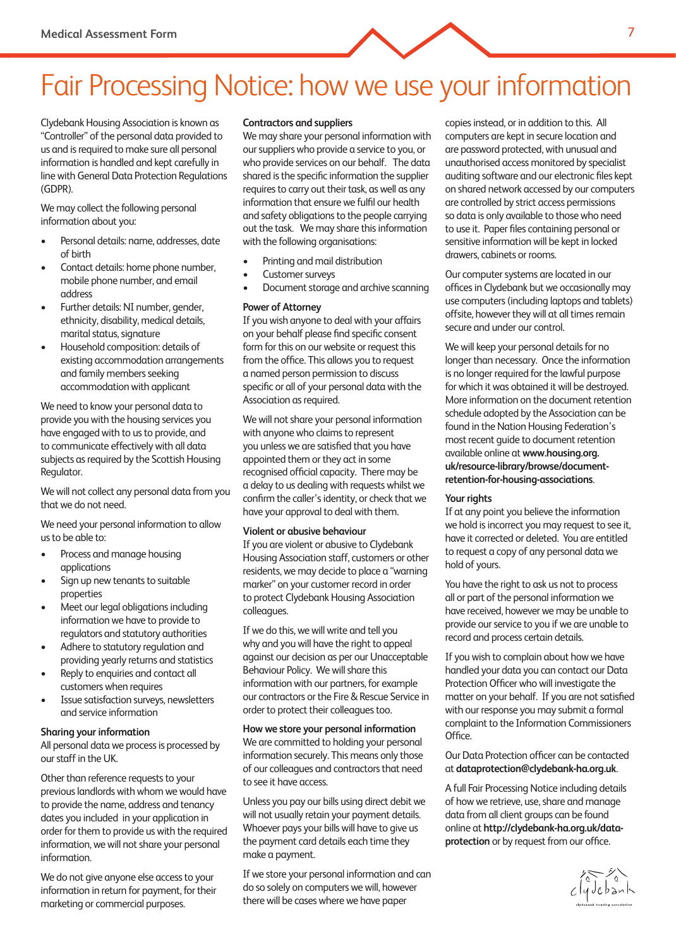# Fair Processing Notice: how we use your information

Clydebank Housing Association is known as "Controller" of the personal data provided to us and is required to make sure all personal information is handled and kept carefully in line with General Data Protection Regulations (GDPR).

We may collect the following personal information about you:

- Personal details: name, addresses, date of birth
- Contact details: home phone number, mobile phone number, and email address
- Further details: NI number, gender, ethnicity, disability, medical details, marital status, signature
- Household composition: details of existing accommodation arrangements and family members seeking accommodation with applicant

We need to know your personal data to provide you with the housing services you have engaged with to us to provide, and to communicate effectively with all data subjects as required by the Scottish Housing Regulator.

We will not collect any personal data from you that we do not need.

We need your personal information to allow us to be able to:

- Process and manage housing applications
- Sign up new tenants to suitable properties
- Meet our legal obligations including information we have to provide to regulators and statutory authorities
- Adhere to statutory regulation and providing yearly returns and statistics
- Reply to enquiries and contact all customers when requires
- Issue satisfaction surveys, newsletters and service information

#### **Sharing your information**

All personal data we process is processed by our staff in the UK.

Other than reference requests to your previous landlords with whom we would have to provide the name, address and tenancy dates you included in your application in order for them to provide us with the required information, we will not share your personal information.

We do not give anyone else access to your information in return for payment, for their marketing or commercial purposes.

#### **Contractors and suppliers**

We may share your personal information with our suppliers who provide a service to you, or who provide services on our behalf. The data shared is the specific information the supplier requires to carry out their task, as well as any information that ensure we fulfil our health and safety obligations to the people carrying out the task. We may share this information with the following organisations:

- Printing and mail distribution
- Customer surveys
- Document storage and archive scanning

#### **Power of Attorney**

If you wish anyone to deal with your affairs on your behalf please find specific consent form for this on our website or request this from the office. This allows you to request a named person permission to discuss specific or all of your personal data with the Association as required.

We will not share your personal information with anyone who claims to represent you unless we are satisfied that you have appointed them or they act in some recognised official capacity. There may be a delay to us dealing with requests whilst we confirm the caller's identity, or check that we have your approval to deal with them.

#### **Violent or abusive behaviour**

If you are violent or abusive to Clydebank Housing Association staff, customers or other residents, we may decide to place a "warning marker" on your customer record in order to protect Clydebank Housing Association colleagues.

If we do this, we will write and tell you why and you will have the right to appeal against our decision as per our Unacceptable Behaviour Policy. We will share this information with our partners, for example our contractors or the Fire & Rescue Service in order to protect their colleagues too.

**How we store your personal information** We are committed to holding your personal information securely. This means only those of our colleagues and contractors that need to see it have access.

Unless you pay our bills using direct debit we will not usually retain your payment details. Whoever pays your bills will have to give us the payment card details each time they make a payment.

If we store your personal information and can do so solely on computers we will, however there will be cases where we have paper

copies instead, or in addition to this. All computers are kept in secure location and are password protected, with unusual and unauthorised access monitored by specialist auditing software and our electronic files kept on shared network accessed by our computers are controlled by strict access permissions so data is only available to those who need to use it. Paper files containing personal or sensitive information will be kept in locked drawers, cabinets or rooms.

Our computer systems are located in our offices in Clydebank but we occasionally may use computers (including laptops and tablets) offsite, however they will at all times remain secure and under our control.

We will keep your personal details for no longer than necessary. Once the information is no longer required for the lawful purpose for which it was obtained it will be destroyed. More information on the document retention schedule adopted by the Association can be found in the Nation Housing Federation's most recent guide to document retention available online at **www.housing.org. uk/resource-library/browse/documentretention-for-housing-associations**.

#### **Your rights**

If at any point you believe the information we hold is incorrect you may request to see it, have it corrected or deleted. You are entitled to request a copy of any personal data we hold of yours.

You have the right to ask us not to process all or part of the personal information we have received, however we may be unable to provide our service to you if we are unable to record and process certain details.

If you wish to complain about how we have handled your data you can contact our Data Protection Officer who will investigate the matter on your behalf. If you are not satisfied with our response you may submit a formal complaint to the Information Commissioners Office

Our Data Protection officer can be contacted at **dataprotection@clydebank-ha.org.uk**.

A full Fair Processing Notice including details of how we retrieve, use, share and manage data from all client groups can be found online at **http://clydebank-ha.org.uk/dataprotection** or by request from our office.